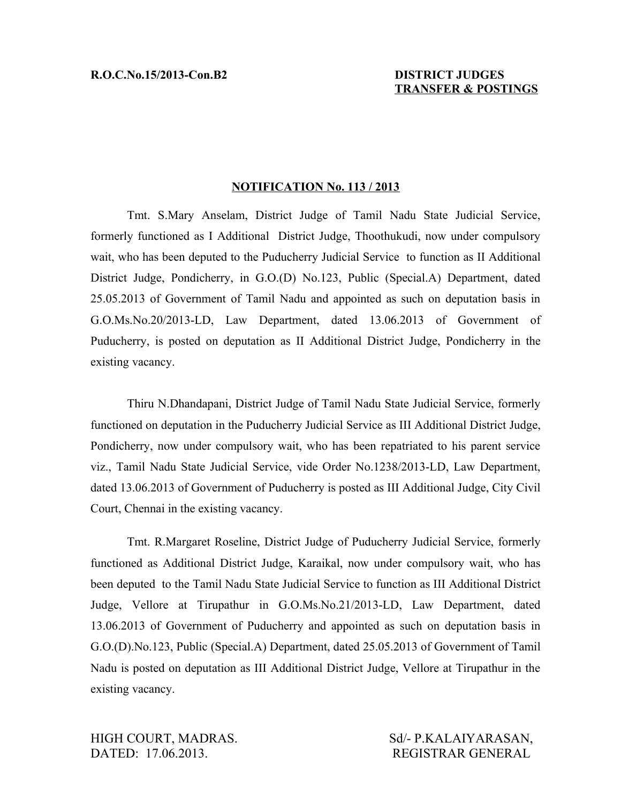## **NOTIFICATION No. 113 / 2013**

Tmt. S.Mary Anselam, District Judge of Tamil Nadu State Judicial Service, formerly functioned as I Additional District Judge, Thoothukudi, now under compulsory wait, who has been deputed to the Puducherry Judicial Service to function as II Additional District Judge, Pondicherry, in G.O.(D) No.123, Public (Special.A) Department, dated 25.05.2013 of Government of Tamil Nadu and appointed as such on deputation basis in G.O.Ms.No.20/2013-LD, Law Department, dated 13.06.2013 of Government of Puducherry, is posted on deputation as II Additional District Judge, Pondicherry in the existing vacancy.

Thiru N.Dhandapani, District Judge of Tamil Nadu State Judicial Service, formerly functioned on deputation in the Puducherry Judicial Service as III Additional District Judge, Pondicherry, now under compulsory wait, who has been repatriated to his parent service viz., Tamil Nadu State Judicial Service, vide Order No.1238/2013-LD, Law Department, dated 13.06.2013 of Government of Puducherry is posted as III Additional Judge, City Civil Court, Chennai in the existing vacancy.

Tmt. R.Margaret Roseline, District Judge of Puducherry Judicial Service, formerly functioned as Additional District Judge, Karaikal, now under compulsory wait, who has been deputed to the Tamil Nadu State Judicial Service to function as III Additional District Judge, Vellore at Tirupathur in G.O.Ms.No.21/2013-LD, Law Department, dated 13.06.2013 of Government of Puducherry and appointed as such on deputation basis in G.O.(D).No.123, Public (Special.A) Department, dated 25.05.2013 of Government of Tamil Nadu is posted on deputation as III Additional District Judge, Vellore at Tirupathur in the existing vacancy.

HIGH COURT, MADRAS. Sd/- P.KALAIYARASAN, DATED: 17.06.2013. REGISTRAR GENERAL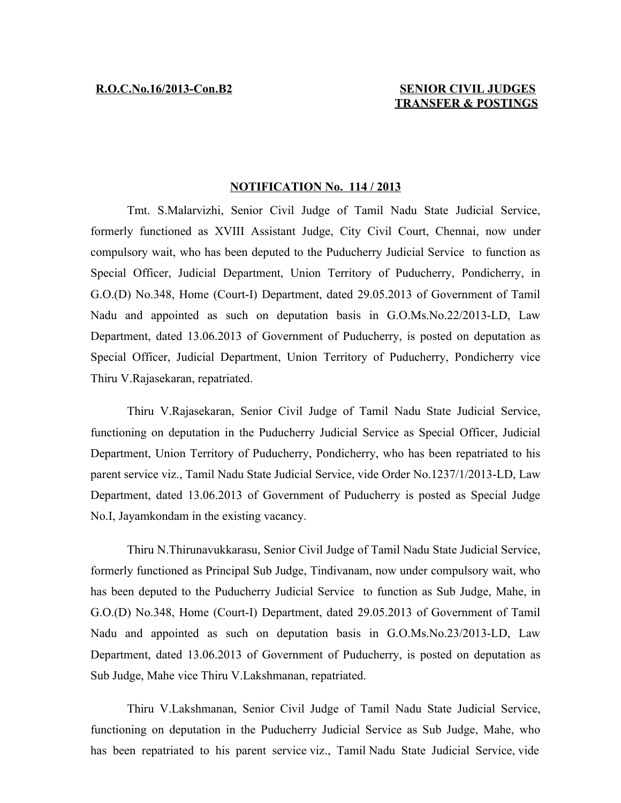## **R.O.C.No.16/2013-Con.B2 SENIOR CIVIL JUDGES TRANSFER & POSTINGS**

## **NOTIFICATION No. 114 / 2013**

Tmt. S.Malarvizhi, Senior Civil Judge of Tamil Nadu State Judicial Service, formerly functioned as XVIII Assistant Judge, City Civil Court, Chennai, now under compulsory wait, who has been deputed to the Puducherry Judicial Service to function as Special Officer, Judicial Department, Union Territory of Puducherry, Pondicherry, in G.O.(D) No.348, Home (Court-I) Department, dated 29.05.2013 of Government of Tamil Nadu and appointed as such on deputation basis in G.O.Ms.No.22/2013-LD, Law Department, dated 13.06.2013 of Government of Puducherry, is posted on deputation as Special Officer, Judicial Department, Union Territory of Puducherry, Pondicherry vice Thiru V.Rajasekaran, repatriated.

Thiru V.Rajasekaran, Senior Civil Judge of Tamil Nadu State Judicial Service, functioning on deputation in the Puducherry Judicial Service as Special Officer, Judicial Department, Union Territory of Puducherry, Pondicherry, who has been repatriated to his parent service viz., Tamil Nadu State Judicial Service, vide Order No.1237/1/2013-LD, Law Department, dated 13.06.2013 of Government of Puducherry is posted as Special Judge No.I, Jayamkondam in the existing vacancy.

Thiru N.Thirunavukkarasu, Senior Civil Judge of Tamil Nadu State Judicial Service, formerly functioned as Principal Sub Judge, Tindivanam, now under compulsory wait, who has been deputed to the Puducherry Judicial Service to function as Sub Judge, Mahe, in G.O.(D) No.348, Home (Court-I) Department, dated 29.05.2013 of Government of Tamil Nadu and appointed as such on deputation basis in G.O.Ms.No.23/2013-LD, Law Department, dated 13.06.2013 of Government of Puducherry, is posted on deputation as Sub Judge, Mahe vice Thiru V.Lakshmanan, repatriated.

Thiru V.Lakshmanan, Senior Civil Judge of Tamil Nadu State Judicial Service, functioning on deputation in the Puducherry Judicial Service as Sub Judge, Mahe, who has been repatriated to his parent service viz., Tamil Nadu State Judicial Service, vide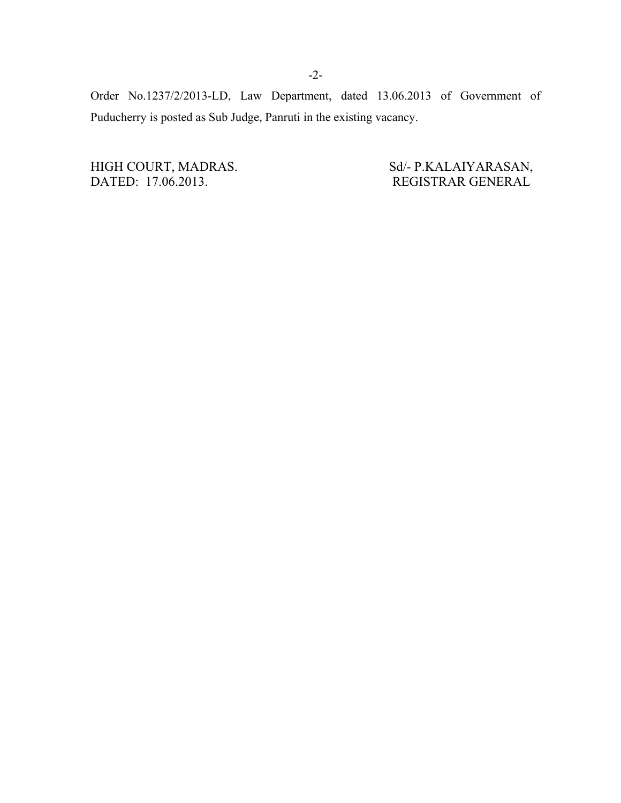Order No.1237/2/2013-LD, Law Department, dated 13.06.2013 of Government of Puducherry is posted as Sub Judge, Panruti in the existing vacancy.

HIGH COURT, MADRAS. Sd/- P.KALAIYARASAN, DATED: 17.06.2013. Sd/- P.KALAIYARASAN, REGISTRAR GENERAL

REGISTRAR GENERAL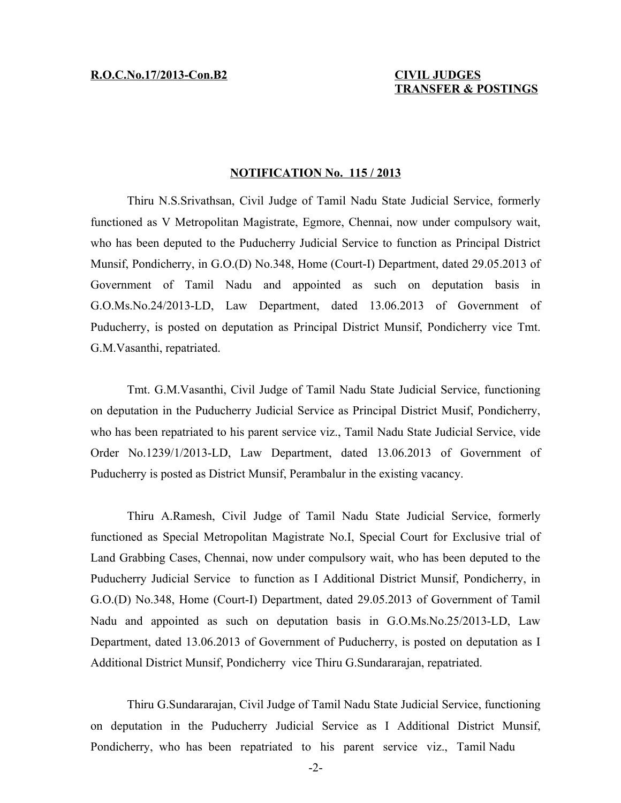## **NOTIFICATION No. 115 / 2013**

Thiru N.S.Srivathsan, Civil Judge of Tamil Nadu State Judicial Service, formerly functioned as V Metropolitan Magistrate, Egmore, Chennai, now under compulsory wait, who has been deputed to the Puducherry Judicial Service to function as Principal District Munsif, Pondicherry, in G.O.(D) No.348, Home (Court-I) Department, dated 29.05.2013 of Government of Tamil Nadu and appointed as such on deputation basis in G.O.Ms.No.24/2013-LD, Law Department, dated 13.06.2013 of Government of Puducherry, is posted on deputation as Principal District Munsif, Pondicherry vice Tmt. G.M.Vasanthi, repatriated.

Tmt. G.M.Vasanthi, Civil Judge of Tamil Nadu State Judicial Service, functioning on deputation in the Puducherry Judicial Service as Principal District Musif, Pondicherry, who has been repatriated to his parent service viz., Tamil Nadu State Judicial Service, vide Order No.1239/1/2013-LD, Law Department, dated 13.06.2013 of Government of Puducherry is posted as District Munsif, Perambalur in the existing vacancy.

Thiru A.Ramesh, Civil Judge of Tamil Nadu State Judicial Service, formerly functioned as Special Metropolitan Magistrate No.I, Special Court for Exclusive trial of Land Grabbing Cases, Chennai, now under compulsory wait, who has been deputed to the Puducherry Judicial Service to function as I Additional District Munsif, Pondicherry, in G.O.(D) No.348, Home (Court-I) Department, dated 29.05.2013 of Government of Tamil Nadu and appointed as such on deputation basis in G.O.Ms.No.25/2013-LD, Law Department, dated 13.06.2013 of Government of Puducherry, is posted on deputation as I Additional District Munsif, Pondicherry vice Thiru G.Sundararajan, repatriated.

Thiru G.Sundararajan, Civil Judge of Tamil Nadu State Judicial Service, functioning on deputation in the Puducherry Judicial Service as I Additional District Munsif, Pondicherry, who has been repatriated to his parent service viz., Tamil Nadu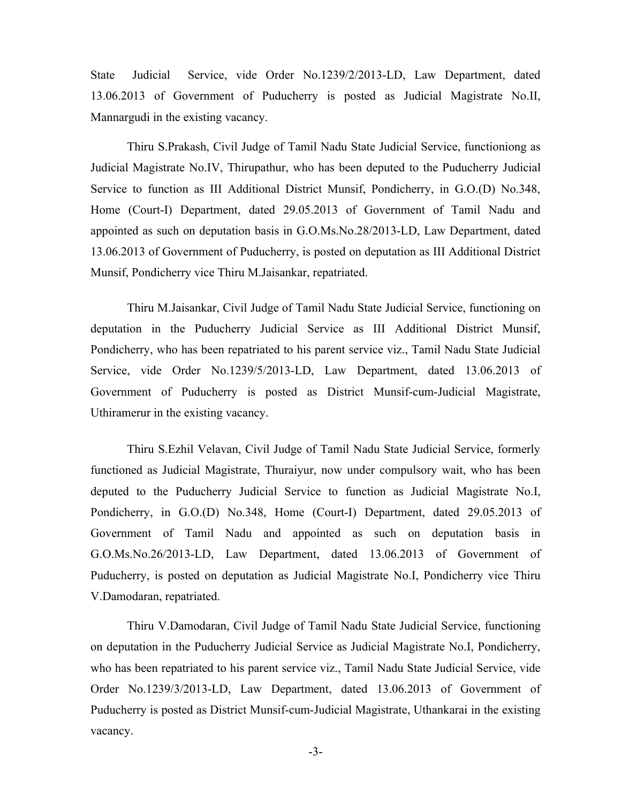State Judicial Service, vide Order No.1239/2/2013-LD, Law Department, dated 13.06.2013 of Government of Puducherry is posted as Judicial Magistrate No.II, Mannargudi in the existing vacancy.

Thiru S.Prakash, Civil Judge of Tamil Nadu State Judicial Service, functioniong as Judicial Magistrate No.IV, Thirupathur, who has been deputed to the Puducherry Judicial Service to function as III Additional District Munsif, Pondicherry, in G.O.(D) No.348, Home (Court-I) Department, dated 29.05.2013 of Government of Tamil Nadu and appointed as such on deputation basis in G.O.Ms.No.28/2013-LD, Law Department, dated 13.06.2013 of Government of Puducherry, is posted on deputation as III Additional District Munsif, Pondicherry vice Thiru M.Jaisankar, repatriated.

Thiru M.Jaisankar, Civil Judge of Tamil Nadu State Judicial Service, functioning on deputation in the Puducherry Judicial Service as III Additional District Munsif, Pondicherry, who has been repatriated to his parent service viz., Tamil Nadu State Judicial Service, vide Order No.1239/5/2013-LD, Law Department, dated 13.06.2013 of Government of Puducherry is posted as District Munsif-cum-Judicial Magistrate, Uthiramerur in the existing vacancy.

Thiru S.Ezhil Velavan, Civil Judge of Tamil Nadu State Judicial Service, formerly functioned as Judicial Magistrate, Thuraiyur, now under compulsory wait, who has been deputed to the Puducherry Judicial Service to function as Judicial Magistrate No.I, Pondicherry, in G.O.(D) No.348, Home (Court-I) Department, dated 29.05.2013 of Government of Tamil Nadu and appointed as such on deputation basis in G.O.Ms.No.26/2013-LD, Law Department, dated 13.06.2013 of Government of Puducherry, is posted on deputation as Judicial Magistrate No.I, Pondicherry vice Thiru V.Damodaran, repatriated.

Thiru V.Damodaran, Civil Judge of Tamil Nadu State Judicial Service, functioning on deputation in the Puducherry Judicial Service as Judicial Magistrate No.I, Pondicherry, who has been repatriated to his parent service viz., Tamil Nadu State Judicial Service, vide Order No.1239/3/2013-LD, Law Department, dated 13.06.2013 of Government of Puducherry is posted as District Munsif-cum-Judicial Magistrate, Uthankarai in the existing vacancy.